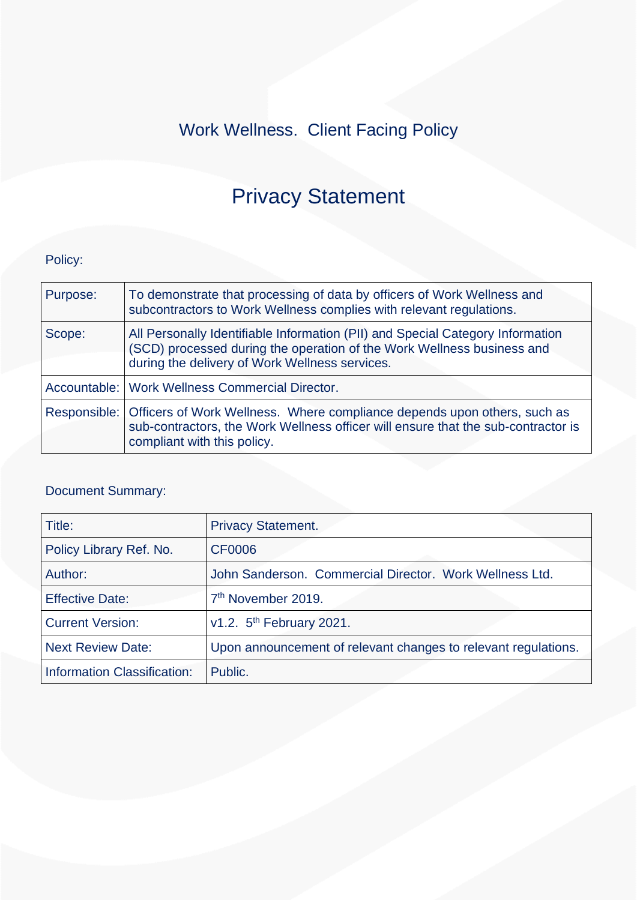## Work Wellness. Client Facing Policy

# Privacy Statement

## Policy:

| Purpose: | To demonstrate that processing of data by officers of Work Wellness and<br>subcontractors to Work Wellness complies with relevant regulations.                                                             |
|----------|------------------------------------------------------------------------------------------------------------------------------------------------------------------------------------------------------------|
| Scope:   | All Personally Identifiable Information (PII) and Special Category Information<br>(SCD) processed during the operation of the Work Wellness business and<br>during the delivery of Work Wellness services. |
|          | Accountable:   Work Wellness Commercial Director.                                                                                                                                                          |
|          | Responsible: Officers of Work Wellness. Where compliance depends upon others, such as<br>sub-contractors, the Work Wellness officer will ensure that the sub-contractor is<br>compliant with this policy.  |

## Document Summary:

| Title:                      | <b>Privacy Statement.</b>                                      |
|-----------------------------|----------------------------------------------------------------|
| Policy Library Ref. No.     | <b>CF0006</b>                                                  |
| Author:                     | John Sanderson. Commercial Director. Work Wellness Ltd.        |
| <b>Effective Date:</b>      | 7 <sup>th</sup> November 2019.                                 |
| <b>Current Version:</b>     | v1.2. 5 <sup>th</sup> February 2021.                           |
| <b>Next Review Date:</b>    | Upon announcement of relevant changes to relevant regulations. |
| Information Classification: | Public.                                                        |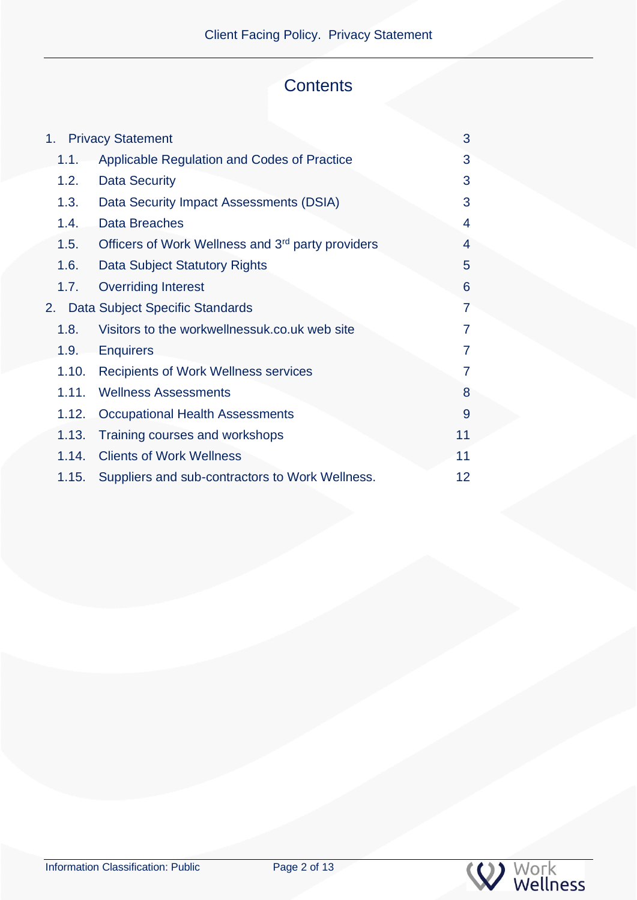## **Contents**

|       | 1. Privacy Statement                                          | 3              |
|-------|---------------------------------------------------------------|----------------|
| 1.1.  | Applicable Regulation and Codes of Practice                   | 3              |
| 1.2.  | <b>Data Security</b>                                          | 3              |
| 1.3.  | Data Security Impact Assessments (DSIA)                       | 3              |
| 1.4.  | <b>Data Breaches</b>                                          | 4              |
| 1.5.  | Officers of Work Wellness and 3 <sup>rd</sup> party providers | 4              |
| 1.6.  | Data Subject Statutory Rights                                 | 5              |
| 1.7.  | <b>Overriding Interest</b>                                    | 6              |
|       | 2. Data Subject Specific Standards                            | 7              |
| 1.8.  | Visitors to the workwellnessuk.co.uk web site                 | $\overline{7}$ |
| 1.9.  | <b>Enquirers</b>                                              | 7              |
| 1.10. | <b>Recipients of Work Wellness services</b>                   | 7              |
| 1.11. | <b>Wellness Assessments</b>                                   | 8              |
| 1.12. | <b>Occupational Health Assessments</b>                        | 9              |
| 1.13. | Training courses and workshops                                | 11             |
| 1.14. | <b>Clients of Work Wellness</b>                               | 11             |
| 1.15. | Suppliers and sub-contractors to Work Wellness.               | 12             |
|       |                                                               |                |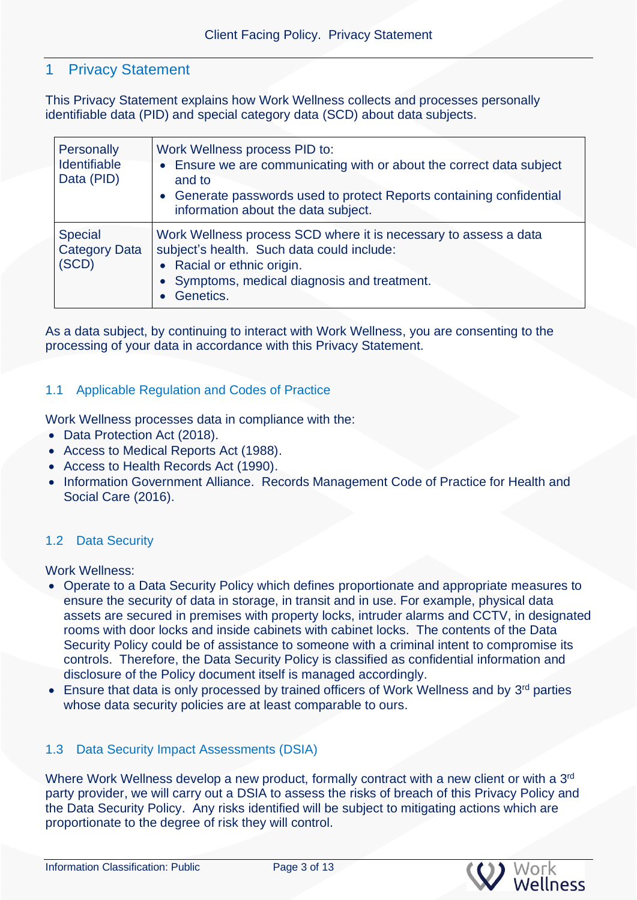## <span id="page-2-0"></span>1 Privacy Statement

This Privacy Statement explains how Work Wellness collects and processes personally identifiable data (PID) and special category data (SCD) about data subjects.

| Personally<br><b>Identifiable</b><br>Data (PID) | Work Wellness process PID to:<br>• Ensure we are communicating with or about the correct data subject<br>and to<br>• Generate passwords used to protect Reports containing confidential<br>information about the data subject. |
|-------------------------------------------------|--------------------------------------------------------------------------------------------------------------------------------------------------------------------------------------------------------------------------------|
| <b>Special</b><br><b>Category Data</b><br>(SCD) | Work Wellness process SCD where it is necessary to assess a data<br>subject's health. Such data could include:<br>• Racial or ethnic origin.<br>• Symptoms, medical diagnosis and treatment.<br>Genetics.                      |

As a data subject, by continuing to interact with Work Wellness, you are consenting to the processing of your data in accordance with this Privacy Statement.

### <span id="page-2-1"></span>1.1 Applicable Regulation and Codes of Practice

Work Wellness processes data in compliance with the:

- Data Protection Act (2018).
- Access to Medical Reports Act (1988).
- Access to Health Records Act (1990).
- Information Government Alliance. Records Management Code of Practice for Health and Social Care (2016).

### <span id="page-2-2"></span>1.2 Data Security

Work Wellness:

- Operate to a Data Security Policy which defines proportionate and appropriate measures to ensure the security of data in storage, in transit and in use. For example, physical data assets are secured in premises with property locks, intruder alarms and CCTV, in designated rooms with door locks and inside cabinets with cabinet locks. The contents of the Data Security Policy could be of assistance to someone with a criminal intent to compromise its controls. Therefore, the Data Security Policy is classified as confidential information and disclosure of the Policy document itself is managed accordingly.
- Ensure that data is only processed by trained officers of Work Wellness and by 3<sup>rd</sup> parties whose data security policies are at least comparable to ours.

### <span id="page-2-3"></span>1.3 Data Security Impact Assessments (DSIA)

Where Work Wellness develop a new product, formally contract with a new client or with a 3<sup>rd</sup> party provider, we will carry out a DSIA to assess the risks of breach of this Privacy Policy and the Data Security Policy. Any risks identified will be subject to mitigating actions which are proportionate to the degree of risk they will control.



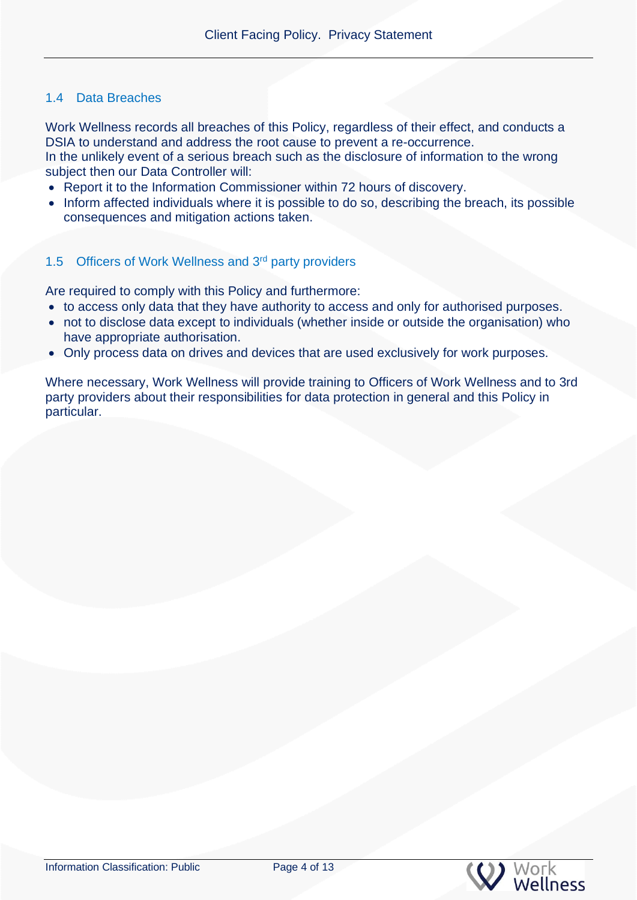## <span id="page-3-0"></span>1.4 Data Breaches

Work Wellness records all breaches of this Policy, regardless of their effect, and conducts a DSIA to understand and address the root cause to prevent a re-occurrence.

In the unlikely event of a serious breach such as the disclosure of information to the wrong subject then our Data Controller will:

- Report it to the Information Commissioner within 72 hours of discovery.
- Inform affected individuals where it is possible to do so, describing the breach, its possible consequences and mitigation actions taken.

### <span id="page-3-1"></span>1.5 Officers of Work Wellness and 3rd party providers

Are required to comply with this Policy and furthermore:

- to access only data that they have authority to access and only for authorised purposes.
- not to disclose data except to individuals (whether inside or outside the organisation) who have appropriate authorisation.
- Only process data on drives and devices that are used exclusively for work purposes.

<span id="page-3-2"></span>Where necessary, Work Wellness will provide training to Officers of Work Wellness and to 3rd party providers about their responsibilities for data protection in general and this Policy in particular.

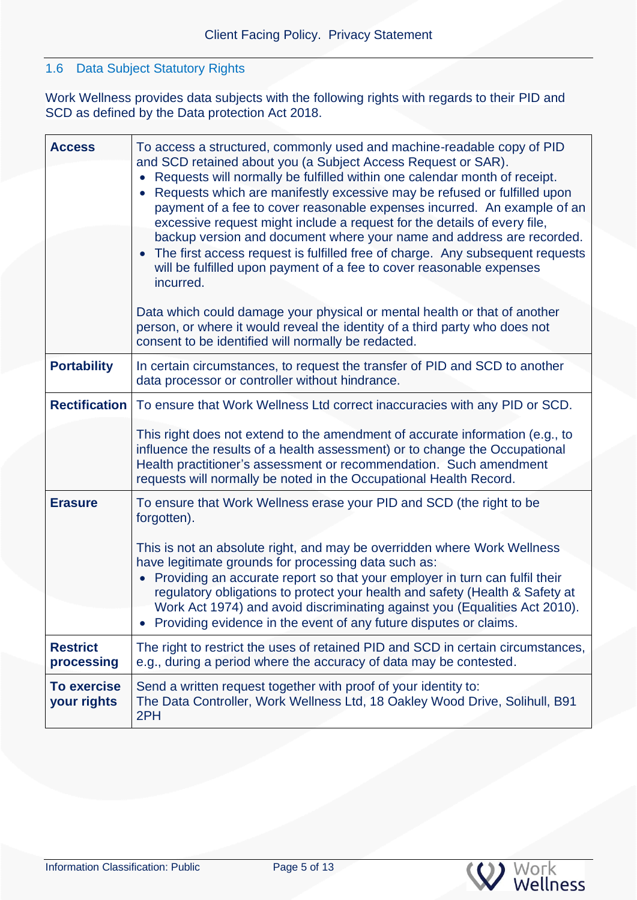## 1.6 Data Subject Statutory Rights

Work Wellness provides data subjects with the following rights with regards to their PID and SCD as defined by the Data protection Act 2018.

<span id="page-4-0"></span>

| <b>Access</b>                     | To access a structured, commonly used and machine-readable copy of PID<br>and SCD retained about you (a Subject Access Request or SAR).<br>• Requests will normally be fulfilled within one calendar month of receipt.<br>Requests which are manifestly excessive may be refused or fulfilled upon<br>payment of a fee to cover reasonable expenses incurred. An example of an<br>excessive request might include a request for the details of every file,<br>backup version and document where your name and address are recorded.<br>The first access request is fulfilled free of charge. Any subsequent requests<br>will be fulfilled upon payment of a fee to cover reasonable expenses<br>incurred. |  |
|-----------------------------------|-----------------------------------------------------------------------------------------------------------------------------------------------------------------------------------------------------------------------------------------------------------------------------------------------------------------------------------------------------------------------------------------------------------------------------------------------------------------------------------------------------------------------------------------------------------------------------------------------------------------------------------------------------------------------------------------------------------|--|
|                                   | Data which could damage your physical or mental health or that of another<br>person, or where it would reveal the identity of a third party who does not<br>consent to be identified will normally be redacted.                                                                                                                                                                                                                                                                                                                                                                                                                                                                                           |  |
| <b>Portability</b>                | In certain circumstances, to request the transfer of PID and SCD to another<br>data processor or controller without hindrance.                                                                                                                                                                                                                                                                                                                                                                                                                                                                                                                                                                            |  |
| <b>Rectification</b>              | To ensure that Work Wellness Ltd correct inaccuracies with any PID or SCD.                                                                                                                                                                                                                                                                                                                                                                                                                                                                                                                                                                                                                                |  |
|                                   | This right does not extend to the amendment of accurate information (e.g., to<br>influence the results of a health assessment) or to change the Occupational<br>Health practitioner's assessment or recommendation. Such amendment<br>requests will normally be noted in the Occupational Health Record.                                                                                                                                                                                                                                                                                                                                                                                                  |  |
| <b>Erasure</b>                    | To ensure that Work Wellness erase your PID and SCD (the right to be<br>forgotten).<br>This is not an absolute right, and may be overridden where Work Wellness<br>have legitimate grounds for processing data such as:<br>• Providing an accurate report so that your employer in turn can fulfil their                                                                                                                                                                                                                                                                                                                                                                                                  |  |
|                                   | regulatory obligations to protect your health and safety (Health & Safety at<br>Work Act 1974) and avoid discriminating against you (Equalities Act 2010).<br>• Providing evidence in the event of any future disputes or claims.                                                                                                                                                                                                                                                                                                                                                                                                                                                                         |  |
| <b>Restrict</b><br>processing     | The right to restrict the uses of retained PID and SCD in certain circumstances,<br>e.g., during a period where the accuracy of data may be contested.                                                                                                                                                                                                                                                                                                                                                                                                                                                                                                                                                    |  |
| <b>To exercise</b><br>your rights | Send a written request together with proof of your identity to:<br>The Data Controller, Work Wellness Ltd, 18 Oakley Wood Drive, Solihull, B91<br>2PH                                                                                                                                                                                                                                                                                                                                                                                                                                                                                                                                                     |  |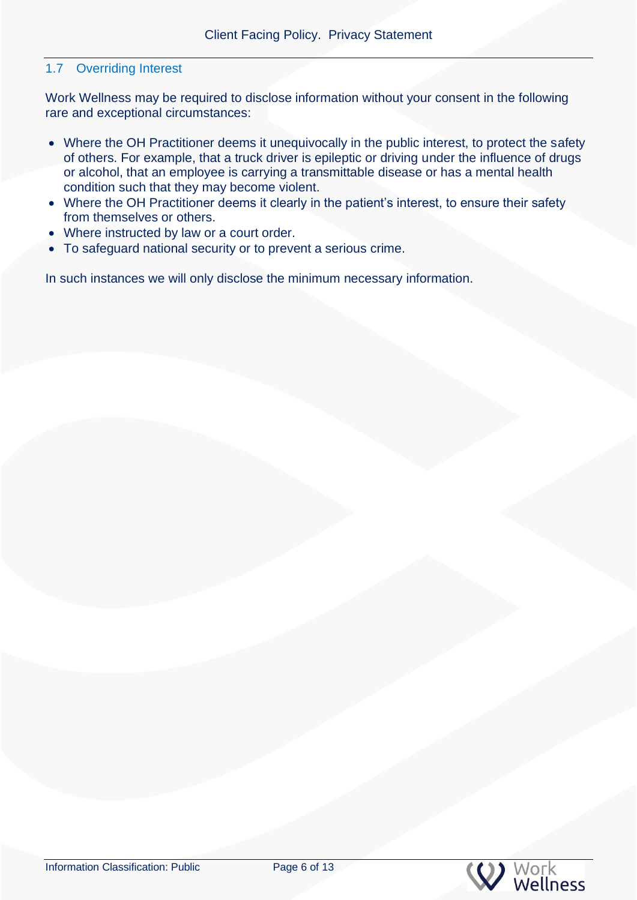### 1.7 Overriding Interest

Work Wellness may be required to disclose information without your consent in the following rare and exceptional circumstances:

- Where the OH Practitioner deems it unequivocally in the public interest, to protect the safety of others. For example, that a truck driver is epileptic or driving under the influence of drugs or alcohol, that an employee is carrying a transmittable disease or has a mental health condition such that they may become violent.
- Where the OH Practitioner deems it clearly in the patient's interest, to ensure their safety from themselves or others.
- Where instructed by law or a court order.
- To safeguard national security or to prevent a serious crime.

In such instances we will only disclose the minimum necessary information.

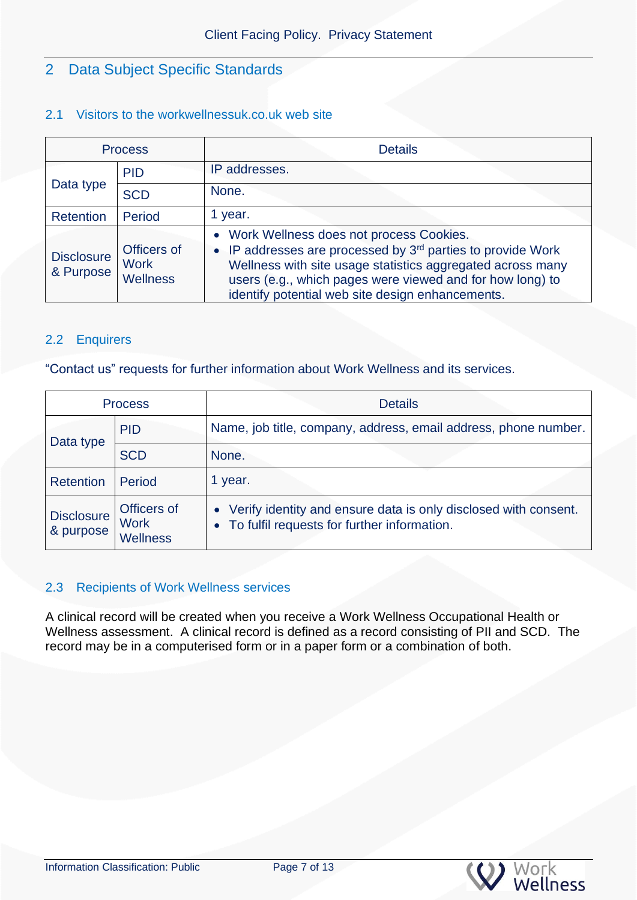## <span id="page-6-0"></span>2 Data Subject Specific Standards

## <span id="page-6-1"></span>2.1 Visitors to the workwellnessuk.co.uk web site

| <b>Process</b>                 |                                               | <b>Details</b>                                                                                                                                                                                                                                                                                      |
|--------------------------------|-----------------------------------------------|-----------------------------------------------------------------------------------------------------------------------------------------------------------------------------------------------------------------------------------------------------------------------------------------------------|
| Data type                      | <b>PID</b>                                    | IP addresses.                                                                                                                                                                                                                                                                                       |
|                                | <b>SCD</b>                                    | None.                                                                                                                                                                                                                                                                                               |
| Retention                      | Period                                        | 1 year.                                                                                                                                                                                                                                                                                             |
| <b>Disclosure</b><br>& Purpose | Officers of<br><b>Work</b><br><b>Wellness</b> | • Work Wellness does not process Cookies.<br>• IP addresses are processed by 3 <sup>rd</sup> parties to provide Work<br>Wellness with site usage statistics aggregated across many<br>users (e.g., which pages were viewed and for how long) to<br>identify potential web site design enhancements. |

## <span id="page-6-2"></span>2.2 Enquirers

"Contact us" requests for further information about Work Wellness and its services.

| <b>Process</b>                 |                                        | <b>Details</b>                                                                                                     |
|--------------------------------|----------------------------------------|--------------------------------------------------------------------------------------------------------------------|
| Data type                      | <b>PID</b>                             | Name, job title, company, address, email address, phone number.                                                    |
|                                | <b>SCD</b>                             | None.                                                                                                              |
| Retention                      | Period                                 | 1 year.                                                                                                            |
| <b>Disclosure</b><br>& purpose | Officers of<br><b>Work</b><br>Wellness | • Verify identity and ensure data is only disclosed with consent.<br>• To fulfil requests for further information. |

### <span id="page-6-3"></span>2.3 Recipients of Work Wellness services

<span id="page-6-4"></span>A clinical record will be created when you receive a Work Wellness Occupational Health or Wellness assessment. A clinical record is defined as a record consisting of PII and SCD. The record may be in a computerised form or in a paper form or a combination of both.

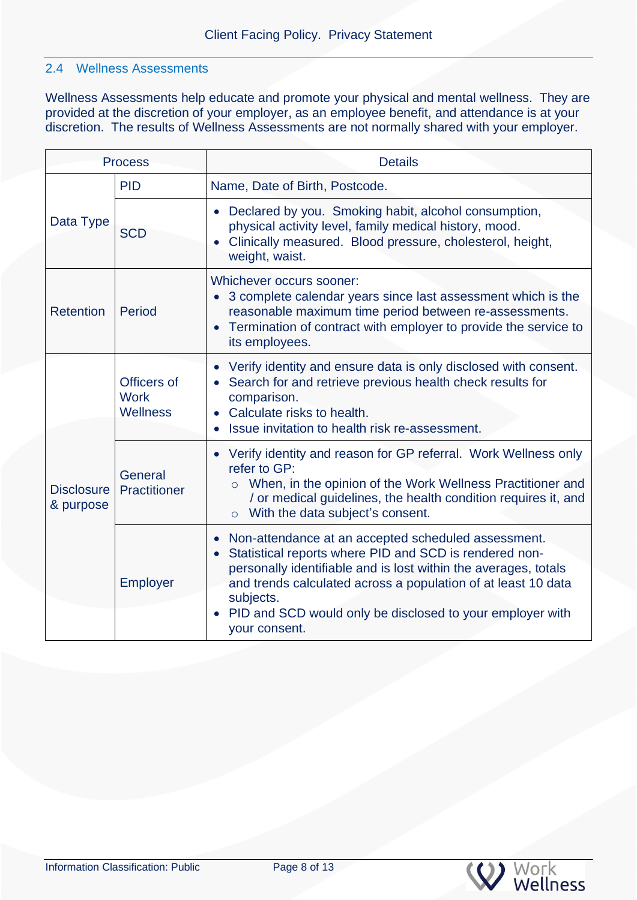### 2.4 Wellness Assessments

Wellness Assessments help educate and promote your physical and mental wellness. They are provided at the discretion of your employer, as an employee benefit, and attendance is at your discretion. The results of Wellness Assessments are not normally shared with your employer.

<span id="page-7-0"></span>

| <b>Process</b>                 |                                               | <b>Details</b>                                                                                                                                                                                                                                                                                                                                                                      |
|--------------------------------|-----------------------------------------------|-------------------------------------------------------------------------------------------------------------------------------------------------------------------------------------------------------------------------------------------------------------------------------------------------------------------------------------------------------------------------------------|
| Data Type                      | <b>PID</b>                                    | Name, Date of Birth, Postcode.                                                                                                                                                                                                                                                                                                                                                      |
|                                | <b>SCD</b>                                    | Declared by you. Smoking habit, alcohol consumption,<br>$\bullet$<br>physical activity level, family medical history, mood.<br>Clinically measured. Blood pressure, cholesterol, height,<br>$\bullet$<br>weight, waist.                                                                                                                                                             |
| <b>Retention</b>               | Period                                        | Whichever occurs sooner:<br>3 complete calendar years since last assessment which is the<br>$\bullet$<br>reasonable maximum time period between re-assessments.<br>Termination of contract with employer to provide the service to<br>$\bullet$<br>its employees.                                                                                                                   |
|                                | Officers of<br><b>Work</b><br><b>Wellness</b> | Verify identity and ensure data is only disclosed with consent.<br>$\bullet$<br>Search for and retrieve previous health check results for<br>comparison.<br>Calculate risks to health.<br>$\bullet$<br>Issue invitation to health risk re-assessment.                                                                                                                               |
| <b>Disclosure</b><br>& purpose | General<br>Practitioner                       | Verify identity and reason for GP referral. Work Wellness only<br>$\bullet$<br>refer to GP:<br>When, in the opinion of the Work Wellness Practitioner and<br>$\circ$<br>/ or medical guidelines, the health condition requires it, and<br>With the data subject's consent.<br>$\circ$                                                                                               |
|                                | Employer                                      | Non-attendance at an accepted scheduled assessment.<br>$\bullet$<br>Statistical reports where PID and SCD is rendered non-<br>$\bullet$<br>personally identifiable and is lost within the averages, totals<br>and trends calculated across a population of at least 10 data<br>subjects.<br>PID and SCD would only be disclosed to your employer with<br>$\bullet$<br>your consent. |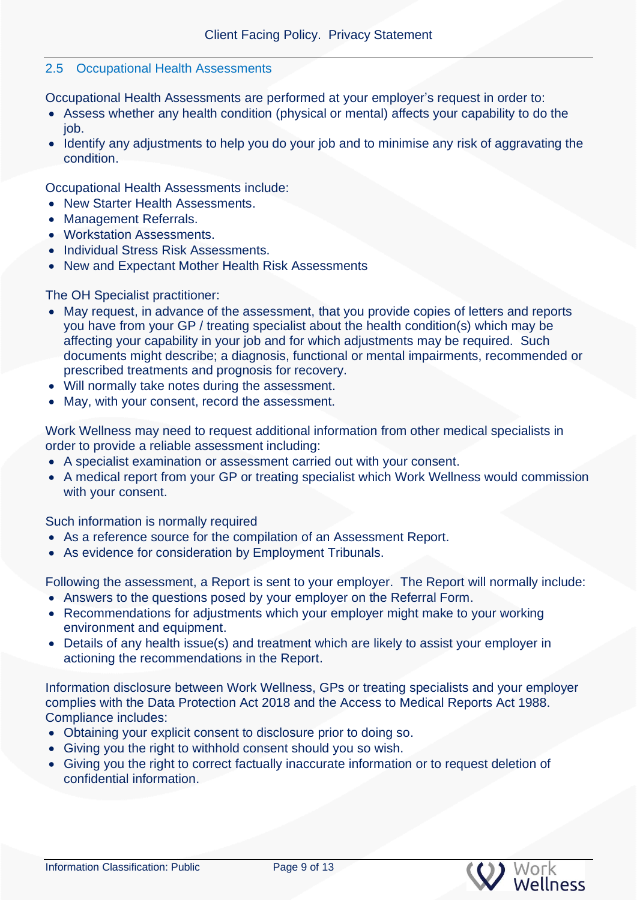### 2.5 Occupational Health Assessments

Occupational Health Assessments are performed at your employer's request in order to:

- Assess whether any health condition (physical or mental) affects your capability to do the job.
- Identify any adjustments to help you do your job and to minimise any risk of aggravating the condition.

Occupational Health Assessments include:

- New Starter Health Assessments.
- Management Referrals.
- Workstation Assessments.
- Individual Stress Risk Assessments.
- New and Expectant Mother Health Risk Assessments

### The OH Specialist practitioner:

- May request, in advance of the assessment, that you provide copies of letters and reports you have from your GP / treating specialist about the health condition(s) which may be affecting your capability in your job and for which adjustments may be required. Such documents might describe; a diagnosis, functional or mental impairments, recommended or prescribed treatments and prognosis for recovery.
- Will normally take notes during the assessment.
- May, with your consent, record the assessment.

Work Wellness may need to request additional information from other medical specialists in order to provide a reliable assessment including:

- A specialist examination or assessment carried out with your consent.
- A medical report from your GP or treating specialist which Work Wellness would commission with your consent.

Such information is normally required

- As a reference source for the compilation of an Assessment Report.
- As evidence for consideration by Employment Tribunals.

Following the assessment, a Report is sent to your employer. The Report will normally include:

- Answers to the questions posed by your employer on the Referral Form.
- Recommendations for adjustments which your employer might make to your working environment and equipment.
- Details of any health issue(s) and treatment which are likely to assist your employer in actioning the recommendations in the Report.

Information disclosure between Work Wellness, GPs or treating specialists and your employer complies with the Data Protection Act 2018 and the Access to Medical Reports Act 1988. Compliance includes:

- Obtaining your explicit consent to disclosure prior to doing so.
- Giving you the right to withhold consent should you so wish.
- Giving you the right to correct factually inaccurate information or to request deletion of confidential information.

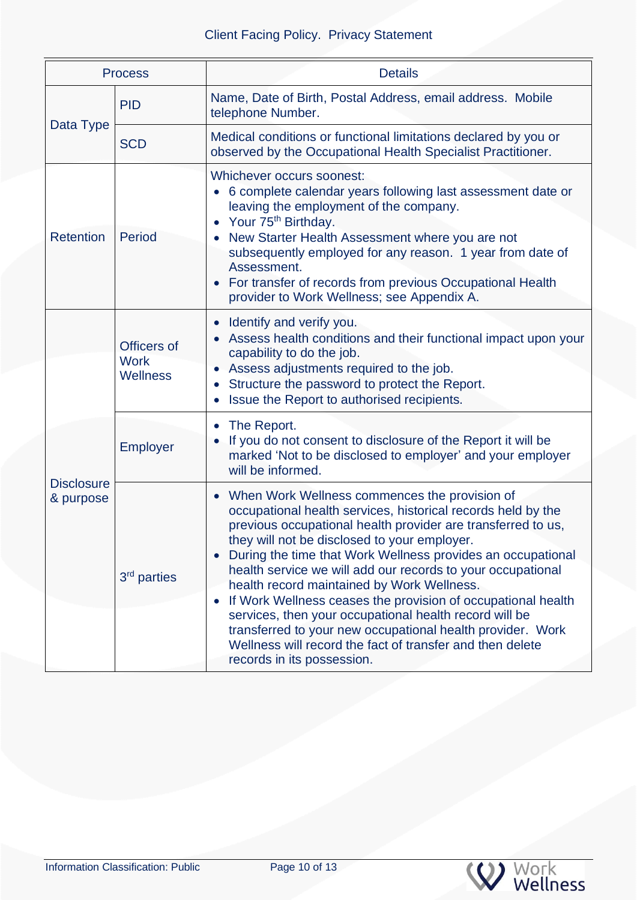| <b>Process</b>                 |                                               | <b>Details</b>                                                                                                                                                                                                                                                                                                                                                                                                                                                                                                                                                                                                                                                                                        |
|--------------------------------|-----------------------------------------------|-------------------------------------------------------------------------------------------------------------------------------------------------------------------------------------------------------------------------------------------------------------------------------------------------------------------------------------------------------------------------------------------------------------------------------------------------------------------------------------------------------------------------------------------------------------------------------------------------------------------------------------------------------------------------------------------------------|
| Data Type                      | <b>PID</b>                                    | Name, Date of Birth, Postal Address, email address. Mobile<br>telephone Number.                                                                                                                                                                                                                                                                                                                                                                                                                                                                                                                                                                                                                       |
|                                | <b>SCD</b>                                    | Medical conditions or functional limitations declared by you or<br>observed by the Occupational Health Specialist Practitioner.                                                                                                                                                                                                                                                                                                                                                                                                                                                                                                                                                                       |
| <b>Retention</b>               | Period                                        | Whichever occurs soonest:<br>6 complete calendar years following last assessment date or<br>leaving the employment of the company.<br>Your 75 <sup>th</sup> Birthday.<br>New Starter Health Assessment where you are not<br>subsequently employed for any reason. 1 year from date of<br>Assessment.<br>For transfer of records from previous Occupational Health<br>$\bullet$<br>provider to Work Wellness; see Appendix A.                                                                                                                                                                                                                                                                          |
|                                | Officers of<br><b>Work</b><br><b>Wellness</b> | Identify and verify you.<br>$\bullet$<br>Assess health conditions and their functional impact upon your<br>capability to do the job.<br>Assess adjustments required to the job.<br>$\bullet$<br>Structure the password to protect the Report.<br>Issue the Report to authorised recipients.                                                                                                                                                                                                                                                                                                                                                                                                           |
| <b>Disclosure</b><br>& purpose | <b>Employer</b>                               | The Report.<br>$\bullet$<br>If you do not consent to disclosure of the Report it will be<br>marked 'Not to be disclosed to employer' and your employer<br>will be informed.                                                                                                                                                                                                                                                                                                                                                                                                                                                                                                                           |
|                                | 3 <sup>rd</sup> parties                       | When Work Wellness commences the provision of<br>$\bullet$<br>occupational health services, historical records held by the<br>previous occupational health provider are transferred to us,<br>they will not be disclosed to your employer.<br>During the time that Work Wellness provides an occupational<br>$\bullet$<br>health service we will add our records to your occupational<br>health record maintained by Work Wellness.<br>If Work Wellness ceases the provision of occupational health<br>$\bullet$<br>services, then your occupational health record will be<br>transferred to your new occupational health provider. Work<br>Wellness will record the fact of transfer and then delete |

<span id="page-9-0"></span>W Work<br>W Wellness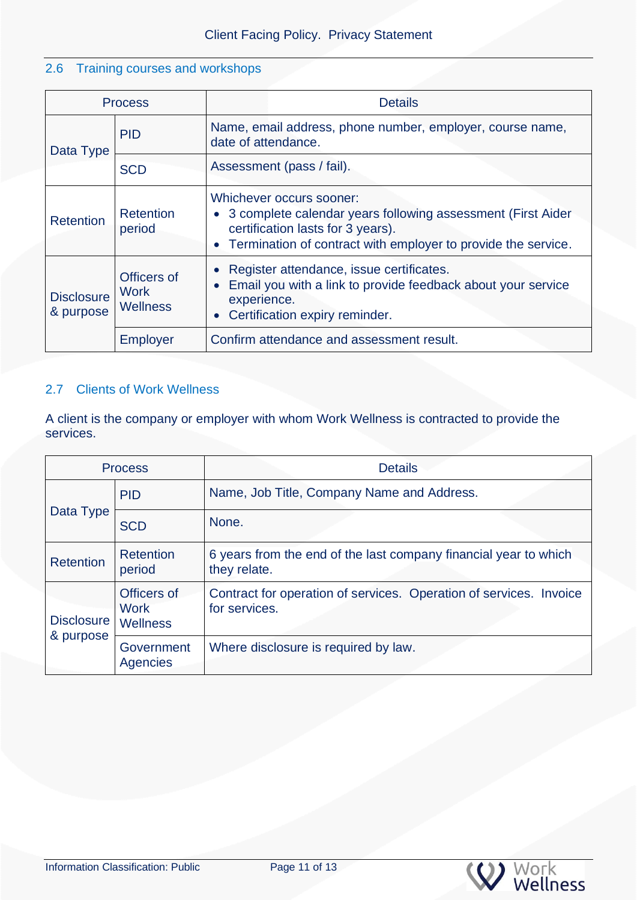## 2.6 Training courses and workshops

| <b>Process</b>                 |                                               | <b>Details</b>                                                                                                                                                                                               |
|--------------------------------|-----------------------------------------------|--------------------------------------------------------------------------------------------------------------------------------------------------------------------------------------------------------------|
| Data Type                      | <b>PID</b>                                    | Name, email address, phone number, employer, course name,<br>date of attendance.                                                                                                                             |
|                                | <b>SCD</b>                                    | Assessment (pass / fail).                                                                                                                                                                                    |
| <b>Retention</b>               | Retention<br>period                           | Whichever occurs sooner:<br>3 complete calendar years following assessment (First Aider<br>$\bullet$<br>certification lasts for 3 years).<br>• Termination of contract with employer to provide the service. |
| <b>Disclosure</b><br>& purpose | Officers of<br><b>Work</b><br><b>Wellness</b> | Register attendance, issue certificates.<br>$\bullet$<br>Email you with a link to provide feedback about your service<br>experience.<br>Certification expiry reminder.                                       |
|                                | <b>Employer</b>                               | Confirm attendance and assessment result.                                                                                                                                                                    |

## <span id="page-10-0"></span>2.7 Clients of Work Wellness

A client is the company or employer with whom Work Wellness is contracted to provide the services.

<span id="page-10-1"></span>

| <b>Process</b>                 |                                               | <b>Details</b>                                                                      |
|--------------------------------|-----------------------------------------------|-------------------------------------------------------------------------------------|
| Data Type                      | <b>PID</b>                                    | Name, Job Title, Company Name and Address.                                          |
|                                | <b>SCD</b>                                    | None.                                                                               |
| <b>Retention</b>               | <b>Retention</b><br>period                    | 6 years from the end of the last company financial year to which<br>they relate.    |
| <b>Disclosure</b><br>& purpose | Officers of<br><b>Work</b><br><b>Wellness</b> | Contract for operation of services. Operation of services. Invoice<br>for services. |
|                                | Government<br><b>Agencies</b>                 | Where disclosure is required by law.                                                |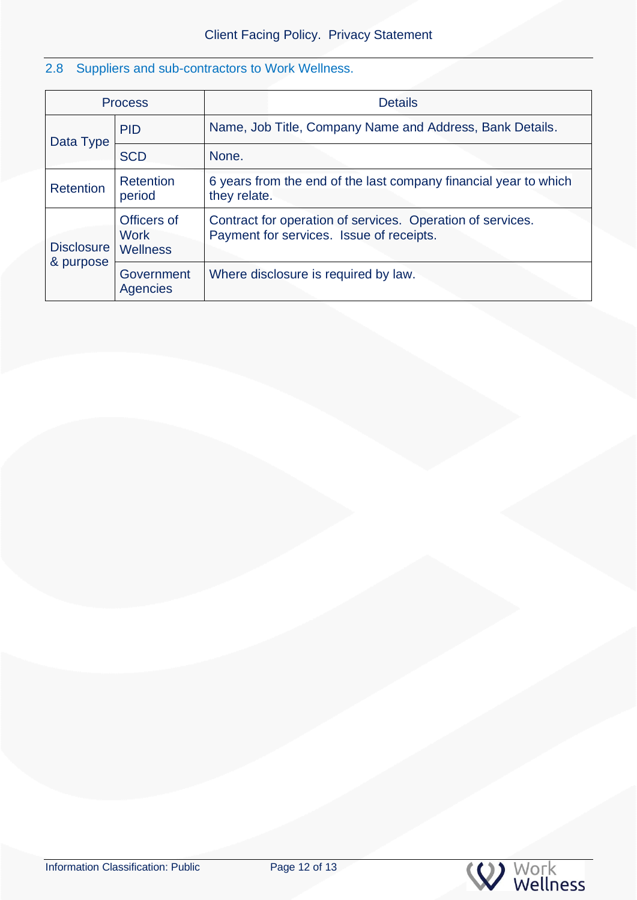## 2.8 Suppliers and sub-contractors to Work Wellness.

| <b>Process</b>                 |                                               | <b>Details</b>                                                                                         |
|--------------------------------|-----------------------------------------------|--------------------------------------------------------------------------------------------------------|
|                                | <b>PID</b>                                    | Name, Job Title, Company Name and Address, Bank Details.                                               |
| Data Type                      | <b>SCD</b>                                    | None.                                                                                                  |
| <b>Retention</b>               | <b>Retention</b><br>period                    | 6 years from the end of the last company financial year to which<br>they relate.                       |
| <b>Disclosure</b><br>& purpose | Officers of<br><b>Work</b><br><b>Wellness</b> | Contract for operation of services. Operation of services.<br>Payment for services. Issue of receipts. |
|                                | Government<br><b>Agencies</b>                 | Where disclosure is required by law.                                                                   |